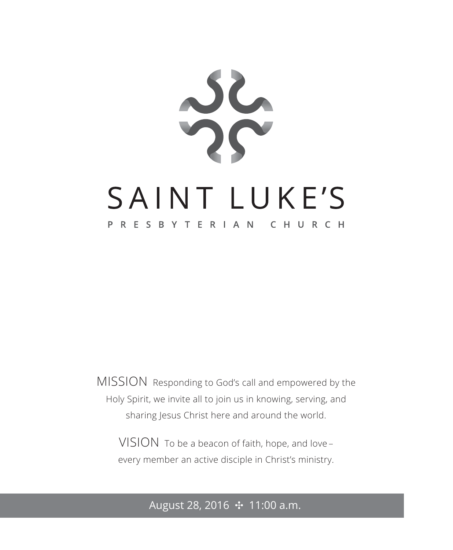

MISSION Responding to God's call and empowered by the Holy Spirit, we invite all to join us in knowing, serving, and sharing Jesus Christ here and around the world.

VISION To be a beacon of faith, hope, and love – every member an active disciple in Christ's ministry.

August 28, 2016 ✣ 11:00 a.m.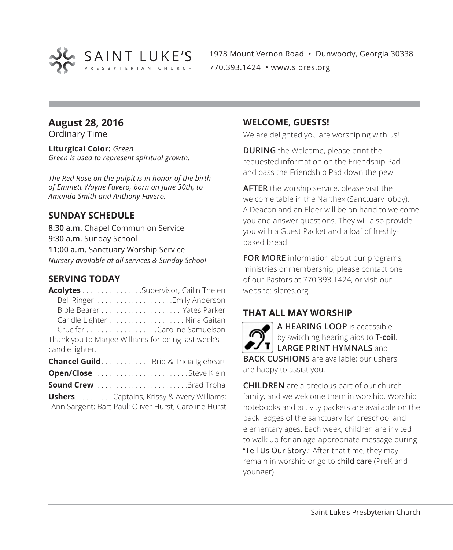

1978 Mount Vernon Road • Dunwoody, Georgia 30338 770.393.1424 • www.slpres.org

# **August 28, 2016**

Ordinary Time

**Liturgical Color:** *Green Green is used to represent spiritual growth.* 

*The Red Rose on the pulpit is in honor of the birth of Emmett Wayne Favero, born on June 30th, to Amanda Smith and Anthony Favero.*

# **SUNDAY SCHEDULE**

**8:30 a.m.** Chapel Communion Service **9:30 a.m.** Sunday School **11:00 a.m.** Sanctuary Worship Service *Nursery available at all services & Sunday School*

# **SERVING TODAY**

|                                                    | <b>Acolytes</b> Supervisor, Cailin Thelen    |
|----------------------------------------------------|----------------------------------------------|
|                                                    |                                              |
|                                                    |                                              |
|                                                    |                                              |
|                                                    |                                              |
| Thank you to Marjee Williams for being last week's |                                              |
| candle lighter.                                    |                                              |
|                                                    | <b>Chancel Guild</b> Brid & Tricia Igleheart |

| <b>Sound CrewBrad Troha</b> |  |  |  |  |  |  |  |  |
|-----------------------------|--|--|--|--|--|--|--|--|

**Ushers** . . . . . . . . . . Captains, Krissy & Avery Williams; Ann Sargent; Bart Paul; Oliver Hurst; Caroline Hurst

# **WELCOME, GUESTS!**

We are delighted you are worshiping with us!

**DURING** the Welcome, please print the requested information on the Friendship Pad and pass the Friendship Pad down the pew.

**AFTER** the worship service, please visit the welcome table in the Narthex (Sanctuary lobby). A Deacon and an Elder will be on hand to welcome you and answer questions. They will also provide you with a Guest Packet and a loaf of freshlybaked bread.

**FOR MORE** information about our programs, ministries or membership, please contact one of our Pastors at 770.393.1424, or visit our website: slpres.org.

# **THAT ALL MAY WORSHIP**

**A HEARING LOOP** is accessible by switching hearing aids to **T-coil**. **LARGE PRINT HYMNALS** and **BACK CUSHIONS** are available; our ushers are happy to assist you.

**CHILDREN** are a precious part of our church family, and we welcome them in worship. Worship notebooks and activity packets are available on the back ledges of the sanctuary for preschool and elementary ages. Each week, children are invited to walk up for an age-appropriate message during "Tell Us Our Story." After that time, they may remain in worship or go to child care (PreK and younger).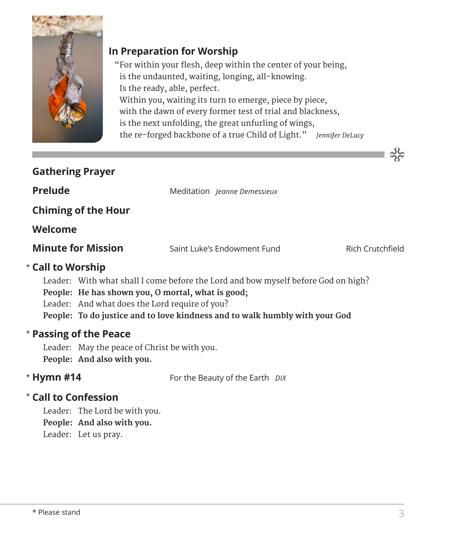

# **In Preparation for Worship**

 "For within your flesh, deep within the center of your being, is the undaunted, waiting, longing, all-knowing. Is the ready, able, perfect. Within you, waiting its turn to emerge, piece by piece, with the dawn of every former test of trial and blackness, is the next unfolding, the great unfurling of wings, the re-forged backbone of a true Child of Light." ― *Jennifer DeLucy*

| <b>Gathering Prayer</b>                           |                                                                                   |                  |
|---------------------------------------------------|-----------------------------------------------------------------------------------|------------------|
| <b>Prelude</b>                                    | Meditation Jeanne Demessieux                                                      |                  |
| <b>Chiming of the Hour</b>                        |                                                                                   |                  |
| Welcome                                           |                                                                                   |                  |
| <b>Minute for Mission</b>                         | Saint Luke's Endowment Fund                                                       | Rich Crutchfield |
| * Call to Worship                                 |                                                                                   |                  |
|                                                   | Leader: With what shall I come before the Lord and bow myself before God on high? |                  |
| People: He has shown you, O mortal, what is good; |                                                                                   |                  |
| Leader: And what does the Lord require of you?    |                                                                                   |                  |
|                                                   | People: To do justice and to love kindness and to walk humbly with your God       |                  |
| * Passing of the Peace                            |                                                                                   |                  |

Leader: May the peace of Christ be with you. **People: And also with you.**

# \* Hymn #14

**Hymn #14** For the Beauty of the Earth *DIX*

# **Call to Confession**  \*

Leader: The Lord be with you. **People: And also with you.** Leader: Let us pray.

သိုင်္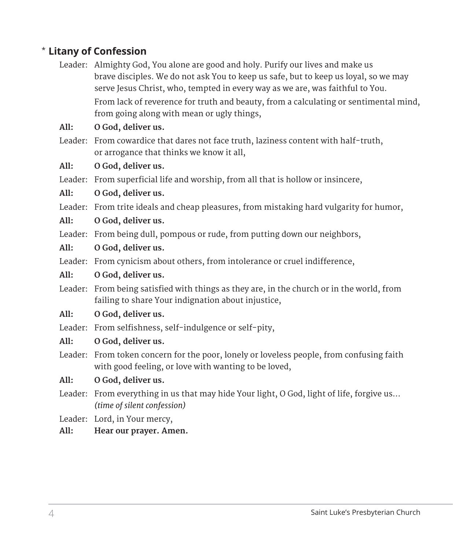# **Litany of Confession**  \*

Leader: Almighty God, You alone are good and holy. Purify our lives and make us brave disciples. We do not ask You to keep us safe, but to keep us loyal, so we may serve Jesus Christ, who, tempted in every way as we are, was faithful to You. From lack of reverence for truth and beauty, from a calculating or sentimental mind, from going along with mean or ugly things,

# **All: O God, deliver us.**

Leader: From cowardice that dares not face truth, laziness content with half-truth, or arrogance that thinks we know it all,

## **All: O God, deliver us.**

Leader: From superficial life and worship, from all that is hollow or insincere,

#### **All: O God, deliver us.**

Leader: From trite ideals and cheap pleasures, from mistaking hard vulgarity for humor,

## **All: O God, deliver us.**

Leader: From being dull, pompous or rude, from putting down our neighbors,

#### **All: O God, deliver us.**

Leader: From cynicism about others, from intolerance or cruel indifference,

#### **All: O God, deliver us.**

Leader: From being satisfied with things as they are, in the church or in the world, from failing to share Your indignation about injustice,

#### **All: O God, deliver us.**

Leader: From selfishness, self-indulgence or self-pity,

## **All: O God, deliver us.**

Leader: From token concern for the poor, lonely or loveless people, from confusing faith with good feeling, or love with wanting to be loved,

## **All: O God, deliver us.**

- Leader: From everything in us that may hide Your light, O God, light of life, forgive us… *(time of silent confession)*
- Leader: Lord, in Your mercy,

## **All: Hear our prayer. Amen.**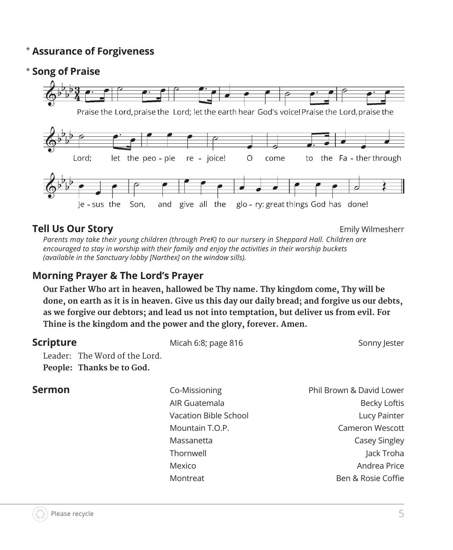#### \* **Assurance of Forgiveness**

# \* **Song of Praise**



# **Tell Us Our Story Emily Wilmesherr Emily Wilmesherr**

*Parents may take their young children (through PreK) to our nursery in Sheppard Hall. Children are encouraged to stay in worship with their family and enjoy the activities in their worship buckets (available in the Sanctuary lobby [Narthex] on the window sills).*

# **Morning Prayer & The Lord's Prayer**

 **Our Father Who art in heaven, hallowed be Thy name. Thy kingdom come, Thy will be done, on earth as it is in heaven. Give us this day our daily bread; and forgive us our debts, as we forgive our debtors; and lead us not into temptation, but deliver us from evil. For Thine is the kingdom and the power and the glory, forever. Amen.**

# **Scripture** Micah 6:8; page 816 Sonny Jester Sonny Jester Leader: The Word of the Lord. **People: Thanks be to God. Sermon** Co-Missioning Phil Brown & David Lower

AIR Guatemala Becky Loftis Vacation Bible School **Lucy Painter**  Mountain T.O.P. Cameron Wescott Massanetta **Casey Singley**  Thornwell Jack Troha Mexico Andrea Price Montreat Montreat Ben & Rosie Coffie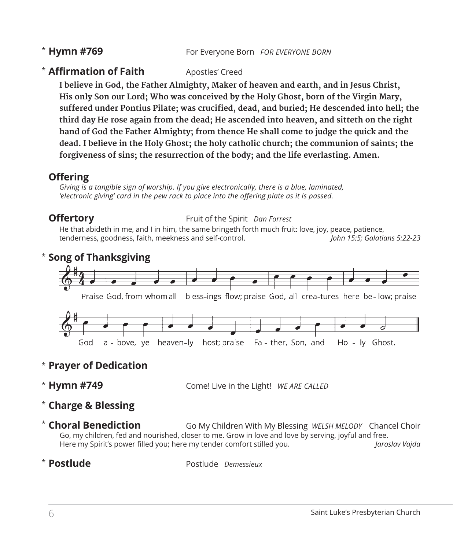# \* Hymn #769

**Hymn #769** For Everyone Born *FOR EVERYONE BORN*

# **\* Affirmation of Faith** Apostles' Creed

 **I believe in God, the Father Almighty, Maker of heaven and earth, and in Jesus Christ, His only Son our Lord; Who was conceived by the Holy Ghost, born of the Virgin Mary, suffered under Pontius Pilate; was crucified, dead, and buried; He descended into hell; the third day He rose again from the dead; He ascended into heaven, and sitteth on the right hand of God the Father Almighty; from thence He shall come to judge the quick and the dead. I believe in the Holy Ghost; the holy catholic church; the communion of saints; the forgiveness of sins; the resurrection of the body; and the life everlasting. Amen.**

# **Offering**

 *Giving is a tangible sign of worship. If you give electronically, there is a blue, laminated, 'electronic giving' card in the pew rack to place into the offering plate as it is passed.* 

#### **Offertory Fruit of the Spirit** *Dan Forrest*

 He that abideth in me, and I in him, the same bringeth forth much fruit: love, joy, peace, patience, tenderness, goodness, faith, meekness and self-control. *John 15:5; Galatians 5:22-23* 

# **Song of Thanksgiving** \*



# **Prayer of Dedication** \*

\* Hymn #749

**Hymn #749** Come! Live in the Light! *WE ARE CALLED*

- **Charge & Blessing** \*
- Go My Children With My Blessing *WELSH MELODY* Chancel Choir Go, my children, fed and nourished, closer to me. Grow in love and love by serving, joyful and free. Here my Spirit's power filled you; here my tender comfort stilled you. *Jaroslav Vajda* \* Choral Benediction

# \* Postlude

**Postlude** Postlude *Demessieux*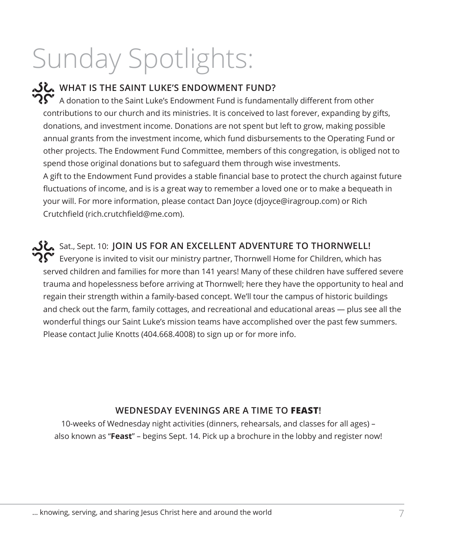# Sunday Spotlights:

**WHAT IS THE SAINT LUKE'S ENDOWMENT FUND?** रे $\boldsymbol{\Omega}$  A donation to the Saint Luke's Endowment Fund is fundamentally different from other contributions to our church and its ministries. It is conceived to last forever, expanding by gifts, donations, and investment income. Donations are not spent but left to grow, making possible annual grants from the investment income, which fund disbursements to the Operating Fund or other projects. The Endowment Fund Committee, members of this congregation, is obliged not to spend those original donations but to safeguard them through wise investments. A gift to the Endowment Fund provides a stable financial base to protect the church against future fluctuations of income, and is is a great way to remember a loved one or to make a bequeath in your will. For more information, please contact Dan Joyce (djoyce@iragroup.com) or Rich Crutchfield (rich.crutchfield@me.com).

Sat., Sept. 10: **JOIN US FOR AN EXCELLENT ADVENTURE TO THORNWELL!**

रे $\hat{\mathbf{C}}$  Everyone is invited to visit our ministry partner, Thornwell Home for Children, which has served children and families for more than 141 years! Many of these children have suffered severe trauma and hopelessness before arriving at Thornwell; here they have the opportunity to heal and regain their strength within a family-based concept. We'll tour the campus of historic buildings and check out the farm, family cottages, and recreational and educational areas — plus see all the wonderful things our Saint Luke's mission teams have accomplished over the past few summers. Please contact Julie Knotts (404.668.4008) to sign up or for more info.

# **WEDNESDAY EVENINGS ARE A TIME TO FEAST!**

10-weeks of Wednesday night activities (dinners, rehearsals, and classes for all ages) – also known as "**Feast**" – begins Sept. 14. Pick up a brochure in the lobby and register now!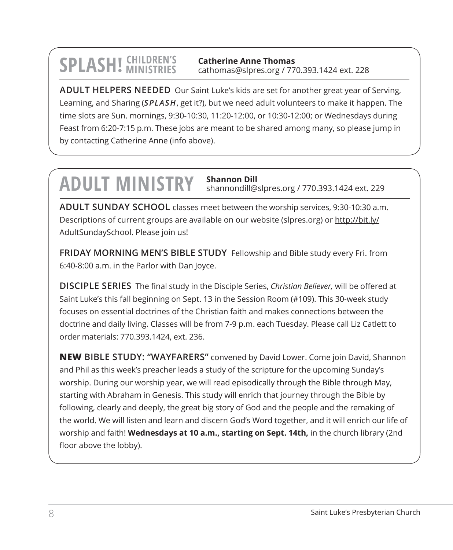$\text{SPLASH!}$  CHILDREN'S catherine Anne Thomas<br>
Cathomas@slpres.org / 770.393.1424 ext. 228 **Catherine Anne Thomas** cathomas@slpres.org / 770.393.1424 ext. 228

**ADULT HELPERS NEEDED** Our Saint Luke's kids are set for another great year of Serving, Learning, and Sharing (*SPLASH*, get it?), but we need adult volunteers to make it happen. The time slots are Sun. mornings, 9:30-10:30, 11:20-12:00, or 10:30-12:00; or Wednesdays during Feast from 6:20-7:15 p.m. These jobs are meant to be shared among many, so please jump in by contacting Catherine Anne (info above).

# **ADULT MINISTRY Shannon Dill** shannondill@slpres.org / 770.393.1424 ext. 229

**ADULT SUNDAY SCHOOL** classes meet between the worship services, 9:30-10:30 a.m. Descriptions of current groups are available on our website (slpres.org) or http://bit.ly/ AdultSundaySchool. Please join us!

**FRIDAY MORNING MEN'S BIBLE STUDY** Fellowship and Bible study every Fri. from 6:40-8:00 a.m. in the Parlor with Dan Joyce.

**DISCIPLE SERIES** The final study in the Disciple Series, *Christian Believer,* will be offered at Saint Luke's this fall beginning on Sept. 13 in the Session Room (#109). This 30-week study focuses on essential doctrines of the Christian faith and makes connections between the doctrine and daily living. Classes will be from 7-9 p.m. each Tuesday. Please call Liz Catlett to order materials: 770.393.1424, ext. 236.

**NEW BIBLE STUDY: "WAYFARERS"** convened by David Lower. Come join David, Shannon and Phil as this week's preacher leads a study of the scripture for the upcoming Sunday's worship. During our worship year, we will read episodically through the Bible through May, starting with Abraham in Genesis. This study will enrich that journey through the Bible by following, clearly and deeply, the great big story of God and the people and the remaking of the world. We will listen and learn and discern God's Word together, and it will enrich our life of worship and faith! **Wednesdays at 10 a.m., starting on Sept. 14th,** in the church library (2nd floor above the lobby).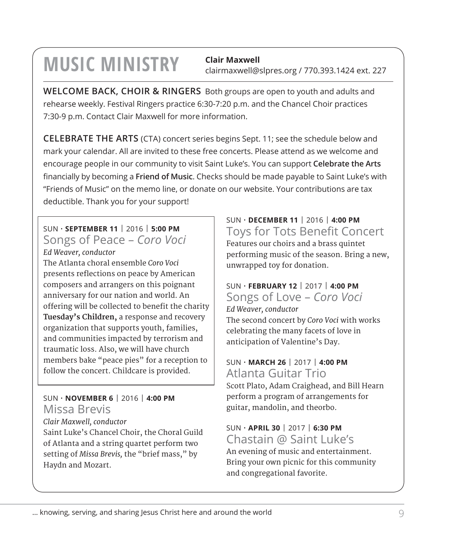# **MUSIC MINISTRY** Clair Maxwell

clairmaxwell@slpres.org / 770.393.1424 ext. 227

**WELCOME BACK, CHOIR & RINGERS** Both groups are open to youth and adults and rehearse weekly. Festival Ringers practice 6:30-7:20 p.m. and the Chancel Choir practices 7:30-9 p.m. Contact Clair Maxwell for more information.

**CELEBRATE THE ARTS** (CTA) concert series begins Sept. 11; see the schedule below and mark your calendar. All are invited to these free concerts. Please attend as we welcome and encourage people in our community to visit Saint Luke's. You can support **Celebrate the Arts** financially by becoming a **Friend of Music**. Checks should be made payable to Saint Luke's with "Friends of Music" on the memo line, or donate on our website. Your contributions are tax deductible. Thank you for your support!

# SUN • **SEPTEMBER 11** | 2016 | **5:00 PM** Songs of Peace – *Coro Voci*

*Ed Weaver, conductor* The Atlanta choral ensemble *Coro Voci*  presents reflections on peace by American composers and arrangers on this poignant anniversary for our nation and world. An offering will be collected to benefit the charity **Tuesday's Children,** a response and recovery organization that supports youth, families, and communities impacted by terrorism and traumatic loss. Also, we will have church members bake "peace pies" for a reception to follow the concert. Childcare is provided.

# SUN • **NOVEMBER 6** | 2016 | **4:00 PM** Missa Brevis

*Clair Maxwell, conductor*

Saint Luke's Chancel Choir, the Choral Guild of Atlanta and a string quartet perform two setting of *Missa Brevis,* the "brief mass," by Haydn and Mozart.

SUN • **DECEMBER 11** | 2016 | **4:00 PM** Toys for Tots Benefit Concert Features our choirs and a brass quintet performing music of the season. Bring a new, unwrapped toy for donation.

# SUN • **FEBRUARY 12** | 2017 | **4:00 PM**

Songs of Love – *Coro Voci Ed Weaver, conductor* The second concert by *Coro Voci* with works celebrating the many facets of love in anticipation of Valentine's Day.

# SUN • **MARCH 26** | 2017 | **4:00 PM** Atlanta Guitar Trio

Scott Plato, Adam Craighead, and Bill Hearn perform a program of arrangements for guitar, mandolin, and theorbo.

# SUN • **APRIL 30** | 2017 | **6:30 PM** Chastain @ Saint Luke's

An evening of music and entertainment. Bring your own picnic for this community and congregational favorite.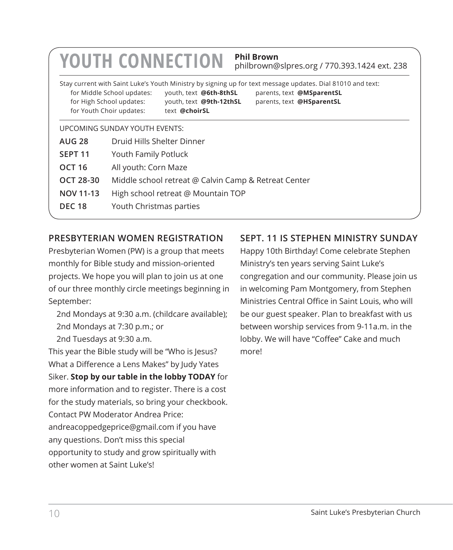|                                                                          | <b>Phil Brown</b><br><b>YOUTH CONNECTION</b><br>philbrown@slpres.org / 770.393.1424 ext. 238                                                                                                                                                                                                                                     |  |  |
|--------------------------------------------------------------------------|----------------------------------------------------------------------------------------------------------------------------------------------------------------------------------------------------------------------------------------------------------------------------------------------------------------------------------|--|--|
|                                                                          | Stay current with Saint Luke's Youth Ministry by signing up for text message updates. Dial 81010 and text:<br>for Middle School updates:<br>youth, text @6th-8thSL<br>parents, text @MSparentSL<br>for High School updates:<br>youth, text @9th-12thSL<br>parents, text @HSparentSL<br>for Youth Choir updates:<br>text @choirSL |  |  |
|                                                                          | UPCOMING SUNDAY YOUTH EVENTS:                                                                                                                                                                                                                                                                                                    |  |  |
| <b>AUG 28</b>                                                            | Druid Hills Shelter Dinner                                                                                                                                                                                                                                                                                                       |  |  |
| SEPT <sub>11</sub>                                                       | Youth Family Potluck                                                                                                                                                                                                                                                                                                             |  |  |
| <b>OCT 16</b>                                                            | All youth: Corn Maze                                                                                                                                                                                                                                                                                                             |  |  |
| <b>OCT 28-30</b><br>Middle school retreat @ Calvin Camp & Retreat Center |                                                                                                                                                                                                                                                                                                                                  |  |  |
| NOV 11-13                                                                | High school retreat @ Mountain TOP                                                                                                                                                                                                                                                                                               |  |  |
| <b>DEC 18</b>                                                            | Youth Christmas parties                                                                                                                                                                                                                                                                                                          |  |  |
|                                                                          |                                                                                                                                                                                                                                                                                                                                  |  |  |

# **PRESBYTERIAN WOMEN REGISTRATION**

Presbyterian Women (PW) is a group that meets monthly for Bible study and mission-oriented projects. We hope you will plan to join us at one of our three monthly circle meetings beginning in September:

2nd Mondays at 9:30 a.m. (childcare available); 2nd Mondays at 7:30 p.m.; or 2nd Tuesdays at 9:30 a.m.

This year the Bible study will be "Who is Jesus? What a Difference a Lens Makes" by Judy Yates Siker. **Stop by our table in the lobby TODAY** for more information and to register. There is a cost for the study materials, so bring your checkbook. Contact PW Moderator Andrea Price: andreacoppedgeprice@gmail.com if you have any questions. Don't miss this special opportunity to study and grow spiritually with other women at Saint Luke's!

# **SEPT. 11 IS STEPHEN MINISTRY SUNDAY**

Happy 10th Birthday! Come celebrate Stephen Ministry's ten years serving Saint Luke's congregation and our community. Please join us in welcoming Pam Montgomery, from Stephen Ministries Central Office in Saint Louis, who will be our guest speaker. Plan to breakfast with us between worship services from 9-11a.m. in the lobby. We will have "Coffee" Cake and much more!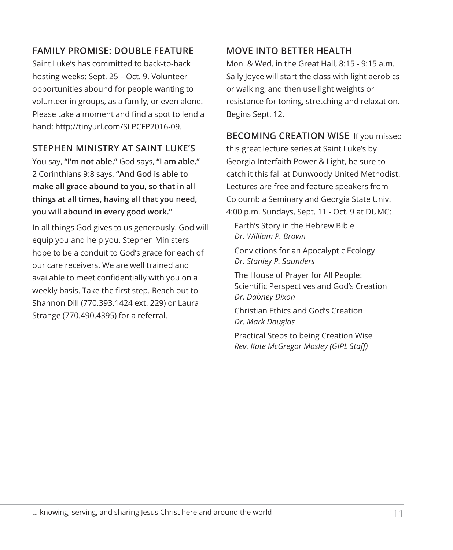# **FAMILY PROMISE: DOUBLE FEATURE**

Saint Luke's has committed to back-to-back hosting weeks: Sept. 25 – Oct. 9. Volunteer opportunities abound for people wanting to volunteer in groups, as a family, or even alone. Please take a moment and find a spot to lend a hand: http://tinyurl.com/SLPCFP2016-09.

# **STEPHEN MINISTRY AT SAINT LUKE'S**

You say, **"I'm not able."** God says, **"I am able."** 2 Corinthians 9:8 says, **"And God is able to make all grace abound to you, so that in all things at all times, having all that you need, you will abound in every good work."** 

In all things God gives to us generously. God will equip you and help you. Stephen Ministers hope to be a conduit to God's grace for each of our care receivers. We are well trained and available to meet confidentially with you on a weekly basis. Take the first step. Reach out to Shannon Dill (770.393.1424 ext. 229) or Laura Strange (770.490.4395) for a referral.

# **MOVE INTO BETTER HEALTH**

Mon. & Wed. in the Great Hall, 8:15 - 9:15 a.m. Sally Joyce will start the class with light aerobics or walking, and then use light weights or resistance for toning, stretching and relaxation. Begins Sept. 12.

**BECOMING CREATION WISE** If you missed this great lecture series at Saint Luke's by Georgia Interfaith Power & Light, be sure to catch it this fall at Dunwoody United Methodist. Lectures are free and feature speakers from Coloumbia Seminary and Georgia State Univ. 4:00 p.m. Sundays, Sept. 11 - Oct. 9 at DUMC:

Earth's Story in the Hebrew Bible *Dr. William P. Brown*

Convictions for an Apocalyptic Ecology *Dr. Stanley P. Saunders*

The House of Prayer for All People: Scientific Perspectives and God's Creation *Dr. Dabney Dixon*

Christian Ethics and God's Creation *Dr. Mark Douglas*

Practical Steps to being Creation Wise *Rev. Kate McGregor Mosley (GIPL Staff)*